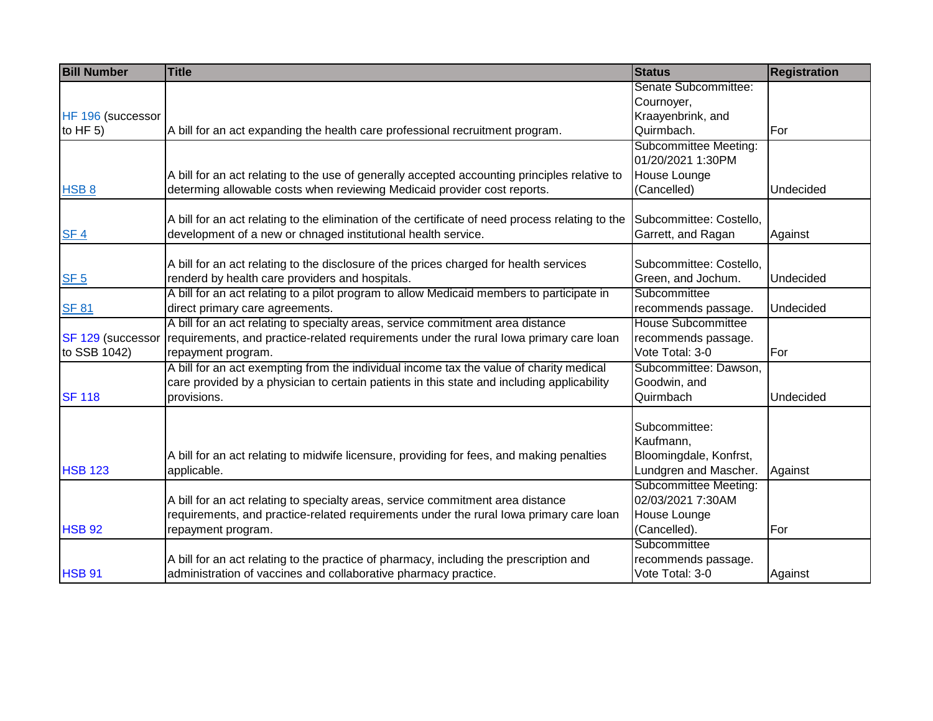| <b>Bill Number</b> | <b>Title</b>                                                                                     | <b>Status</b>                          | <b>Registration</b> |
|--------------------|--------------------------------------------------------------------------------------------------|----------------------------------------|---------------------|
|                    |                                                                                                  | Senate Subcommittee:                   |                     |
|                    |                                                                                                  | Cournoyer,                             |                     |
| HF 196 (successor  |                                                                                                  | Kraayenbrink, and                      |                     |
| to HF $5$ )        | A bill for an act expanding the health care professional recruitment program.                    | Quirmbach.                             | For                 |
|                    |                                                                                                  | Subcommittee Meeting:                  |                     |
|                    |                                                                                                  | 01/20/2021 1:30PM                      |                     |
|                    | A bill for an act relating to the use of generally accepted accounting principles relative to    | House Lounge                           |                     |
| HSB <sub>8</sub>   | determing allowable costs when reviewing Medicaid provider cost reports.                         | (Cancelled)                            | Undecided           |
|                    |                                                                                                  |                                        |                     |
|                    | A bill for an act relating to the elimination of the certificate of need process relating to the | Subcommittee: Costello,                |                     |
| SF 4               | development of a new or chnaged institutional health service.                                    | Garrett, and Ragan                     | Against             |
|                    | A bill for an act relating to the disclosure of the prices charged for health services           | Subcommittee: Costello.                |                     |
| SF 5               | renderd by health care providers and hospitals.                                                  | Green, and Jochum.                     | Undecided           |
|                    | A bill for an act relating to a pilot program to allow Medicaid members to participate in        | Subcommittee                           |                     |
| <b>SF 81</b>       | direct primary care agreements.                                                                  | recommends passage.                    | Undecided           |
|                    | A bill for an act relating to specialty areas, service commitment area distance                  | House Subcommittee                     |                     |
| SF 129 (successor  | requirements, and practice-related requirements under the rural lowa primary care loan           |                                        |                     |
| to SSB 1042)       | repayment program.                                                                               | recommends passage.<br>Vote Total: 3-0 | For                 |
|                    | A bill for an act exempting from the individual income tax the value of charity medical          | Subcommittee: Dawson,                  |                     |
|                    | care provided by a physician to certain patients in this state and including applicability       | Goodwin, and                           |                     |
| <b>SF 118</b>      | provisions.                                                                                      | Quirmbach                              | Undecided           |
|                    |                                                                                                  |                                        |                     |
|                    |                                                                                                  | Subcommittee:                          |                     |
|                    |                                                                                                  | Kaufmann,                              |                     |
|                    | A bill for an act relating to midwife licensure, providing for fees, and making penalties        | Bloomingdale, Konfrst,                 |                     |
| <b>HSB 123</b>     | applicable.                                                                                      | Lundgren and Mascher.                  | Against             |
|                    |                                                                                                  | Subcommittee Meeting:                  |                     |
|                    | A bill for an act relating to specialty areas, service commitment area distance                  | 02/03/2021 7:30AM                      |                     |
|                    | requirements, and practice-related requirements under the rural lowa primary care loan           | House Lounge                           |                     |
| <b>HSB 92</b>      | repayment program.                                                                               | (Cancelled).                           | For                 |
|                    |                                                                                                  | Subcommittee                           |                     |
|                    | A bill for an act relating to the practice of pharmacy, including the prescription and           | recommends passage.                    |                     |
| <b>HSB 91</b>      | administration of vaccines and collaborative pharmacy practice.                                  | Vote Total: 3-0                        | Against             |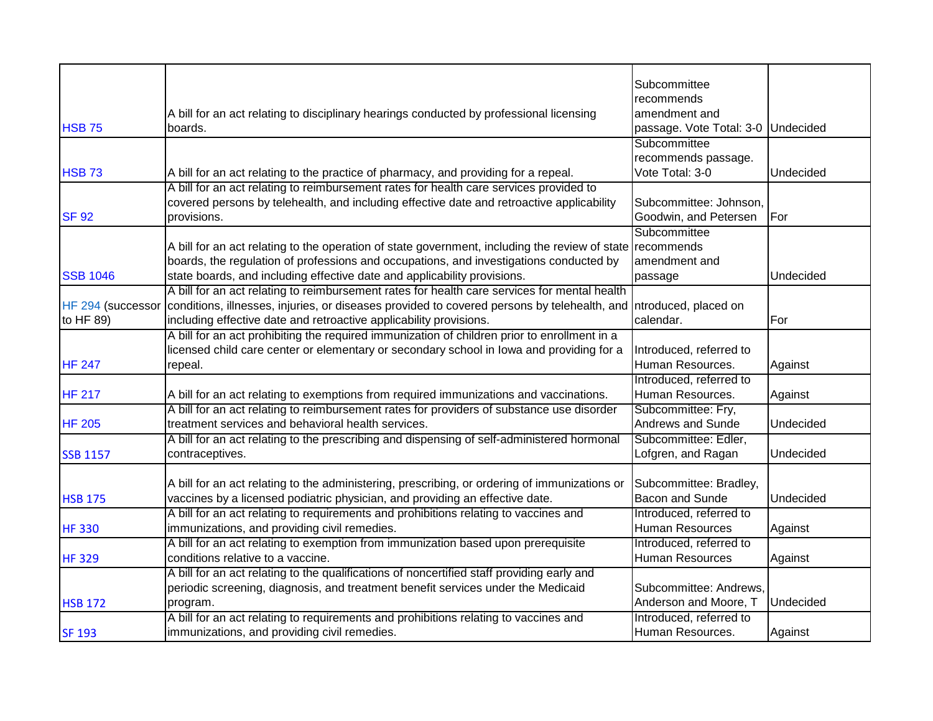|                   |                                                                                                                   | Subcommittee                       |           |
|-------------------|-------------------------------------------------------------------------------------------------------------------|------------------------------------|-----------|
|                   |                                                                                                                   | recommends                         |           |
|                   | A bill for an act relating to disciplinary hearings conducted by professional licensing                           | amendment and                      |           |
| <b>HSB 75</b>     | boards.                                                                                                           | passage. Vote Total: 3-0 Undecided |           |
|                   |                                                                                                                   | Subcommittee                       |           |
|                   |                                                                                                                   | recommends passage.                |           |
| <b>HSB 73</b>     | A bill for an act relating to the practice of pharmacy, and providing for a repeal.                               | Vote Total: 3-0                    | Undecided |
|                   | A bill for an act relating to reimbursement rates for health care services provided to                            |                                    |           |
|                   | covered persons by telehealth, and including effective date and retroactive applicability                         | Subcommittee: Johnson,             |           |
| <b>SF 92</b>      | provisions.                                                                                                       | Goodwin, and Petersen              | For       |
|                   |                                                                                                                   | Subcommittee                       |           |
|                   | A bill for an act relating to the operation of state government, including the review of state recommends         |                                    |           |
|                   | boards, the regulation of professions and occupations, and investigations conducted by                            | amendment and                      |           |
| <b>SSB 1046</b>   | state boards, and including effective date and applicability provisions.                                          | passage                            | Undecided |
|                   | A bill for an act relating to reimbursement rates for health care services for mental health                      |                                    |           |
| HF 294 (successor | conditions, illnesses, injuries, or diseases provided to covered persons by telehealth, and Introduced, placed on |                                    |           |
| to HF 89)         | including effective date and retroactive applicability provisions.                                                | calendar.                          | For       |
|                   | A bill for an act prohibiting the required immunization of children prior to enrollment in a                      |                                    |           |
|                   | licensed child care center or elementary or secondary school in lowa and providing for a                          | Introduced, referred to            |           |
| <b>HF 247</b>     | repeal.                                                                                                           | Human Resources.                   | Against   |
|                   |                                                                                                                   | Introduced, referred to            |           |
| <b>HF 217</b>     | A bill for an act relating to exemptions from required immunizations and vaccinations.                            | Human Resources.                   | Against   |
|                   | A bill for an act relating to reimbursement rates for providers of substance use disorder                         | Subcommittee: Fry,                 |           |
| <b>HF 205</b>     | treatment services and behavioral health services.                                                                | <b>Andrews and Sunde</b>           | Undecided |
|                   | A bill for an act relating to the prescribing and dispensing of self-administered hormonal                        | Subcommittee: Edler,               |           |
| <b>SSB 1157</b>   | contraceptives.                                                                                                   | Lofgren, and Ragan                 | Undecided |
|                   |                                                                                                                   |                                    |           |
|                   | A bill for an act relating to the administering, prescribing, or ordering of immunizations or                     | Subcommittee: Bradley,             |           |
| <b>HSB 175</b>    | vaccines by a licensed podiatric physician, and providing an effective date.                                      | <b>Bacon and Sunde</b>             | Undecided |
|                   | A bill for an act relating to requirements and prohibitions relating to vaccines and                              | Introduced, referred to            |           |
| <b>HF330</b>      | immunizations, and providing civil remedies.                                                                      | Human Resources                    | Against   |
|                   | A bill for an act relating to exemption from immunization based upon prerequisite                                 | Introduced, referred to            |           |
| <b>HF329</b>      | conditions relative to a vaccine.                                                                                 | Human Resources                    | Against   |
|                   | A bill for an act relating to the qualifications of noncertified staff providing early and                        |                                    |           |
|                   | periodic screening, diagnosis, and treatment benefit services under the Medicaid                                  | Subcommittee: Andrews,             |           |
| <b>HSB 172</b>    | program.                                                                                                          | Anderson and Moore, T              | Undecided |
|                   | A bill for an act relating to requirements and prohibitions relating to vaccines and                              | Introduced, referred to            |           |
| <b>SF 193</b>     | immunizations, and providing civil remedies.                                                                      | Human Resources.                   | Against   |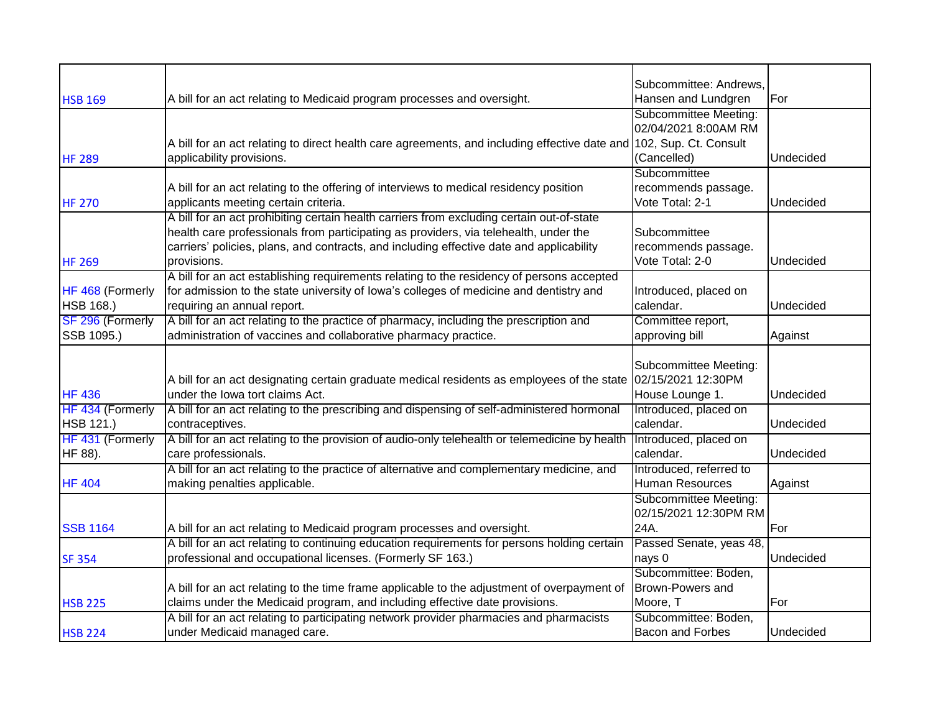|                  |                                                                                                                     | Subcommittee: Andrews.  |           |
|------------------|---------------------------------------------------------------------------------------------------------------------|-------------------------|-----------|
| <b>HSB 169</b>   | A bill for an act relating to Medicaid program processes and oversight.                                             | Hansen and Lundgren     | For       |
|                  |                                                                                                                     | Subcommittee Meeting:   |           |
|                  |                                                                                                                     | 02/04/2021 8:00AM RM    |           |
|                  | A bill for an act relating to direct health care agreements, and including effective date and 102, Sup. Ct. Consult |                         |           |
| <b>HF 289</b>    | applicability provisions.                                                                                           | (Cancelled)             | Undecided |
|                  |                                                                                                                     | Subcommittee            |           |
|                  | A bill for an act relating to the offering of interviews to medical residency position                              | recommends passage.     |           |
| <b>HF 270</b>    | applicants meeting certain criteria.                                                                                | Vote Total: 2-1         | Undecided |
|                  | A bill for an act prohibiting certain health carriers from excluding certain out-of-state                           |                         |           |
|                  | health care professionals from participating as providers, via telehealth, under the                                | Subcommittee            |           |
|                  | carriers' policies, plans, and contracts, and including effective date and applicability                            | recommends passage.     |           |
| <b>HF 269</b>    | provisions.                                                                                                         | Vote Total: 2-0         | Undecided |
|                  | A bill for an act establishing requirements relating to the residency of persons accepted                           |                         |           |
| HF 468 (Formerly | for admission to the state university of lowa's colleges of medicine and dentistry and                              | Introduced, placed on   |           |
| HSB 168.)        | requiring an annual report.                                                                                         | calendar.               | Undecided |
| SF 296 (Formerly | A bill for an act relating to the practice of pharmacy, including the prescription and                              | Committee report,       |           |
| SSB 1095.)       | administration of vaccines and collaborative pharmacy practice.                                                     | approving bill          | Against   |
|                  |                                                                                                                     |                         |           |
|                  |                                                                                                                     | Subcommittee Meeting:   |           |
|                  | A bill for an act designating certain graduate medical residents as employees of the state (02/15/2021 12:30PM      |                         |           |
| <b>HF 436</b>    | under the lowa tort claims Act.                                                                                     | House Lounge 1.         | Undecided |
| HF 434 (Formerly | A bill for an act relating to the prescribing and dispensing of self-administered hormonal                          | Introduced, placed on   |           |
| HSB 121.)        | contraceptives.                                                                                                     | calendar.               | Undecided |
| HF 431 (Formerly | A bill for an act relating to the provision of audio-only telehealth or telemedicine by health                      | Introduced, placed on   |           |
| HF 88).          | care professionals.                                                                                                 | calendar.               | Undecided |
|                  | A bill for an act relating to the practice of alternative and complementary medicine, and                           | Introduced, referred to |           |
| <b>HF 404</b>    | making penalties applicable.                                                                                        | <b>Human Resources</b>  | Against   |
|                  |                                                                                                                     | Subcommittee Meeting:   |           |
|                  |                                                                                                                     | 02/15/2021 12:30PM RM   |           |
| <b>SSB 1164</b>  | A bill for an act relating to Medicaid program processes and oversight.                                             | 24A.                    | For       |
|                  | A bill for an act relating to continuing education requirements for persons holding certain                         | Passed Senate, yeas 48, |           |
| <b>SF 354</b>    | professional and occupational licenses. (Formerly SF 163.)                                                          | nays 0                  | Undecided |
|                  |                                                                                                                     | Subcommittee: Boden,    |           |
|                  | A bill for an act relating to the time frame applicable to the adjustment of overpayment of                         | Brown-Powers and        |           |
| <b>HSB 225</b>   | claims under the Medicaid program, and including effective date provisions.                                         | Moore, T                | For       |
|                  | A bill for an act relating to participating network provider pharmacies and pharmacists                             | Subcommittee: Boden,    |           |
| <b>HSB 224</b>   | under Medicaid managed care.                                                                                        | <b>Bacon and Forbes</b> | Undecided |